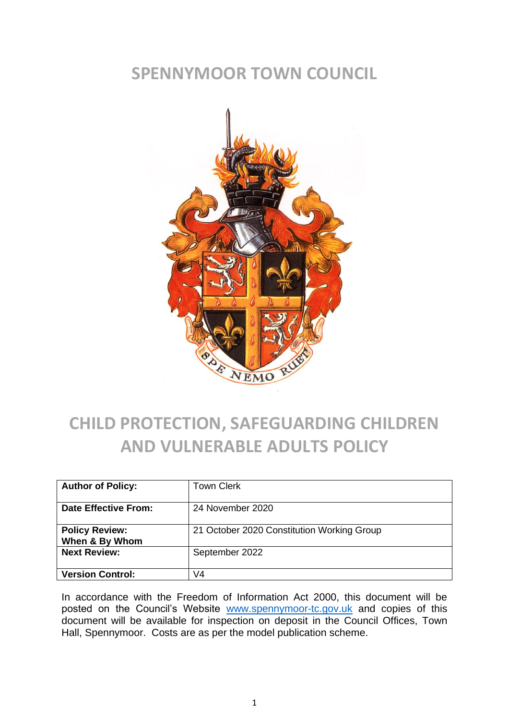#### **SPENNYMOOR TOWN COUNCIL**



#### **CHILD PROTECTION, SAFEGUARDING CHILDREN AND VULNERABLE ADULTS POLICY**

| <b>Author of Policy:</b>                | Town Clerk                                 |
|-----------------------------------------|--------------------------------------------|
| Date Effective From:                    | 24 November 2020                           |
| <b>Policy Review:</b><br>When & By Whom | 21 October 2020 Constitution Working Group |
| <b>Next Review:</b>                     | September 2022                             |
| <b>Version Control:</b>                 | V4                                         |

In accordance with the Freedom of Information Act 2000, this document will be posted on the Council's Website [www.spennymoor-tc.gov.uk](http://www.spennymoor-tc.gov.uk/) and copies of this document will be available for inspection on deposit in the Council Offices, Town Hall, Spennymoor. Costs are as per the model publication scheme.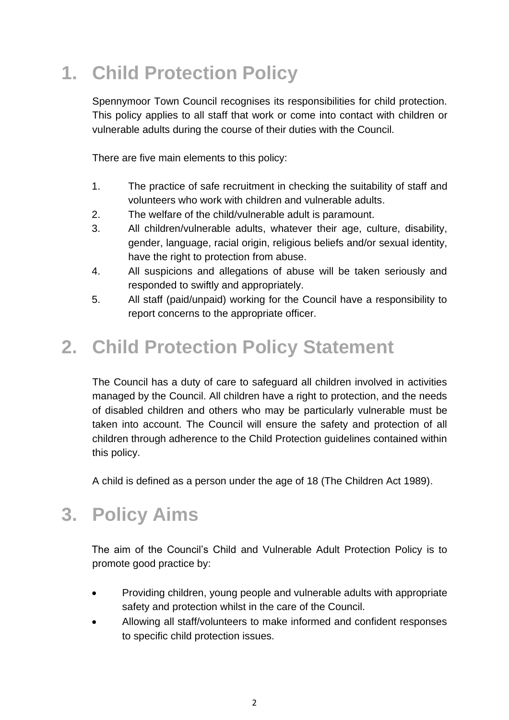## **1. Child Protection Policy**

Spennymoor Town Council recognises its responsibilities for child protection. This policy applies to all staff that work or come into contact with children or vulnerable adults during the course of their duties with the Council.

There are five main elements to this policy:

- 1. The practice of safe recruitment in checking the suitability of staff and volunteers who work with children and vulnerable adults.
- 2. The welfare of the child/vulnerable adult is paramount.
- 3. All children/vulnerable adults, whatever their age, culture, disability, gender, language, racial origin, religious beliefs and/or sexual identity, have the right to protection from abuse.
- 4. All suspicions and allegations of abuse will be taken seriously and responded to swiftly and appropriately.
- 5. All staff (paid/unpaid) working for the Council have a responsibility to report concerns to the appropriate officer.

## **2. Child Protection Policy Statement**

The Council has a duty of care to safeguard all children involved in activities managed by the Council. All children have a right to protection, and the needs of disabled children and others who may be particularly vulnerable must be taken into account. The Council will ensure the safety and protection of all children through adherence to the Child Protection guidelines contained within this policy.

A child is defined as a person under the age of 18 (The Children Act 1989).

## **3. Policy Aims**

The aim of the Council's Child and Vulnerable Adult Protection Policy is to promote good practice by:

- Providing children, young people and vulnerable adults with appropriate safety and protection whilst in the care of the Council.
- Allowing all staff/volunteers to make informed and confident responses to specific child protection issues.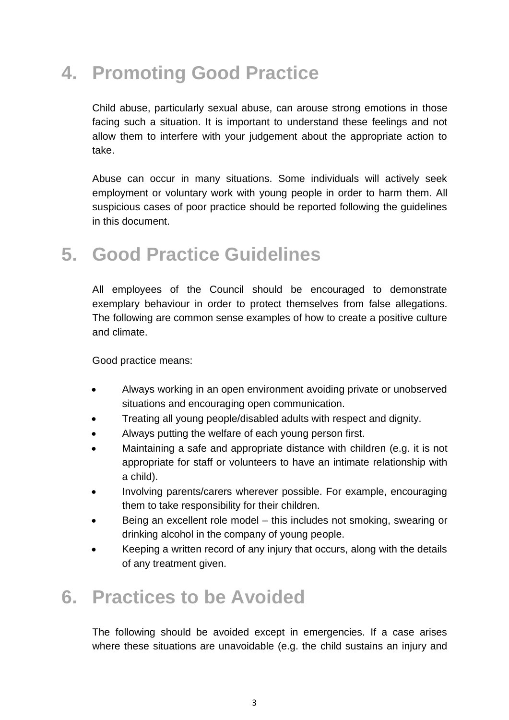## **4. Promoting Good Practice**

Child abuse, particularly sexual abuse, can arouse strong emotions in those facing such a situation. It is important to understand these feelings and not allow them to interfere with your judgement about the appropriate action to take.

Abuse can occur in many situations. Some individuals will actively seek employment or voluntary work with young people in order to harm them. All suspicious cases of poor practice should be reported following the guidelines in this document.

### **5. Good Practice Guidelines**

All employees of the Council should be encouraged to demonstrate exemplary behaviour in order to protect themselves from false allegations. The following are common sense examples of how to create a positive culture and climate.

Good practice means:

- Always working in an open environment avoiding private or unobserved situations and encouraging open communication.
- Treating all young people/disabled adults with respect and dignity.
- Always putting the welfare of each young person first.
- Maintaining a safe and appropriate distance with children (e.g. it is not appropriate for staff or volunteers to have an intimate relationship with a child).
- Involving parents/carers wherever possible. For example, encouraging them to take responsibility for their children.
- Being an excellent role model this includes not smoking, swearing or drinking alcohol in the company of young people.
- Keeping a written record of any injury that occurs, along with the details of any treatment given.

#### **6. Practices to be Avoided**

The following should be avoided except in emergencies. If a case arises where these situations are unavoidable (e.g. the child sustains an injury and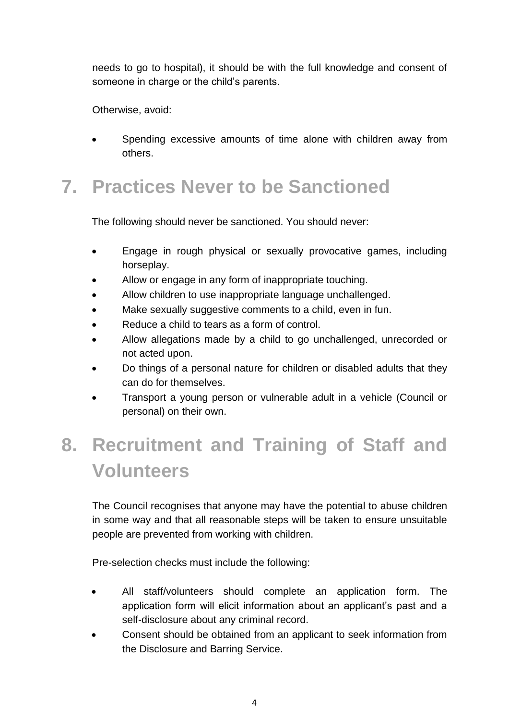needs to go to hospital), it should be with the full knowledge and consent of someone in charge or the child's parents.

Otherwise, avoid:

Spending excessive amounts of time alone with children away from others.

### **7. Practices Never to be Sanctioned**

The following should never be sanctioned. You should never:

- Engage in rough physical or sexually provocative games, including horseplay.
- Allow or engage in any form of inappropriate touching.
- Allow children to use inappropriate language unchallenged.
- Make sexually suggestive comments to a child, even in fun.
- Reduce a child to tears as a form of control.
- Allow allegations made by a child to go unchallenged, unrecorded or not acted upon.
- Do things of a personal nature for children or disabled adults that they can do for themselves.
- Transport a young person or vulnerable adult in a vehicle (Council or personal) on their own.

## **8. Recruitment and Training of Staff and Volunteers**

The Council recognises that anyone may have the potential to abuse children in some way and that all reasonable steps will be taken to ensure unsuitable people are prevented from working with children.

Pre-selection checks must include the following:

- All staff/volunteers should complete an application form. The application form will elicit information about an applicant's past and a self-disclosure about any criminal record.
- Consent should be obtained from an applicant to seek information from the Disclosure and Barring Service.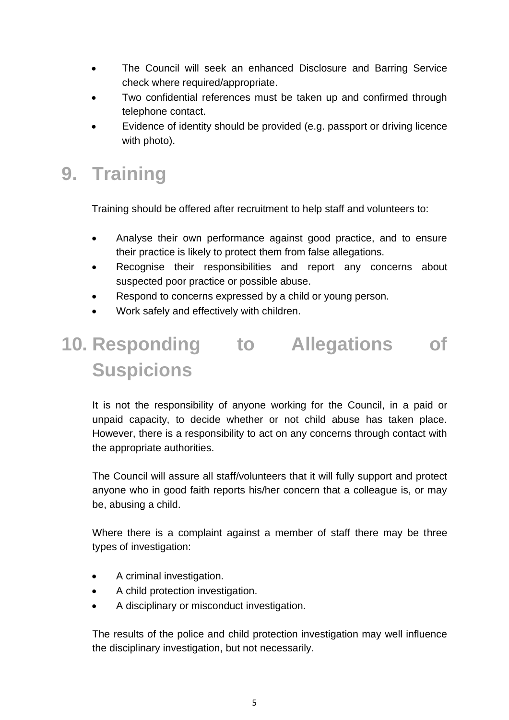- The Council will seek an enhanced Disclosure and Barring Service check where required/appropriate.
- Two confidential references must be taken up and confirmed through telephone contact.
- Evidence of identity should be provided (e.g. passport or driving licence with photo).

## **9. Training**

Training should be offered after recruitment to help staff and volunteers to:

- Analyse their own performance against good practice, and to ensure their practice is likely to protect them from false allegations.
- Recognise their responsibilities and report any concerns about suspected poor practice or possible abuse.
- Respond to concerns expressed by a child or young person.
- Work safely and effectively with children.

# **10. Responding to Allegations of Suspicions**

It is not the responsibility of anyone working for the Council, in a paid or unpaid capacity, to decide whether or not child abuse has taken place. However, there is a responsibility to act on any concerns through contact with the appropriate authorities.

The Council will assure all staff/volunteers that it will fully support and protect anyone who in good faith reports his/her concern that a colleague is, or may be, abusing a child.

Where there is a complaint against a member of staff there may be three types of investigation:

- A criminal investigation.
- A child protection investigation.
- A disciplinary or misconduct investigation.

The results of the police and child protection investigation may well influence the disciplinary investigation, but not necessarily.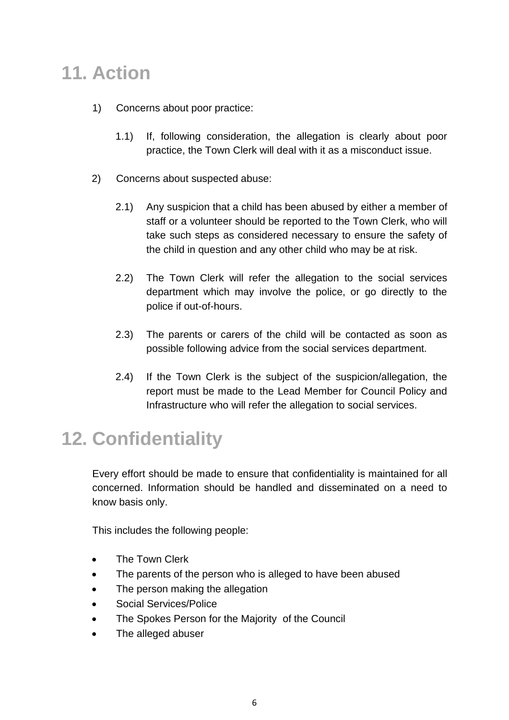### **11. Action**

- 1) Concerns about poor practice:
	- 1.1) If, following consideration, the allegation is clearly about poor practice, the Town Clerk will deal with it as a misconduct issue.
- 2) Concerns about suspected abuse:
	- 2.1) Any suspicion that a child has been abused by either a member of staff or a volunteer should be reported to the Town Clerk, who will take such steps as considered necessary to ensure the safety of the child in question and any other child who may be at risk.
	- 2.2) The Town Clerk will refer the allegation to the social services department which may involve the police, or go directly to the police if out-of-hours.
	- 2.3) The parents or carers of the child will be contacted as soon as possible following advice from the social services department.
	- 2.4) If the Town Clerk is the subject of the suspicion/allegation, the report must be made to the Lead Member for Council Policy and Infrastructure who will refer the allegation to social services.

## **12. Confidentiality**

Every effort should be made to ensure that confidentiality is maintained for all concerned. Information should be handled and disseminated on a need to know basis only.

This includes the following people:

- The Town Clerk
- The parents of the person who is alleged to have been abused
- The person making the allegation
- Social Services/Police
- The Spokes Person for the Majority of the Council
- The alleged abuser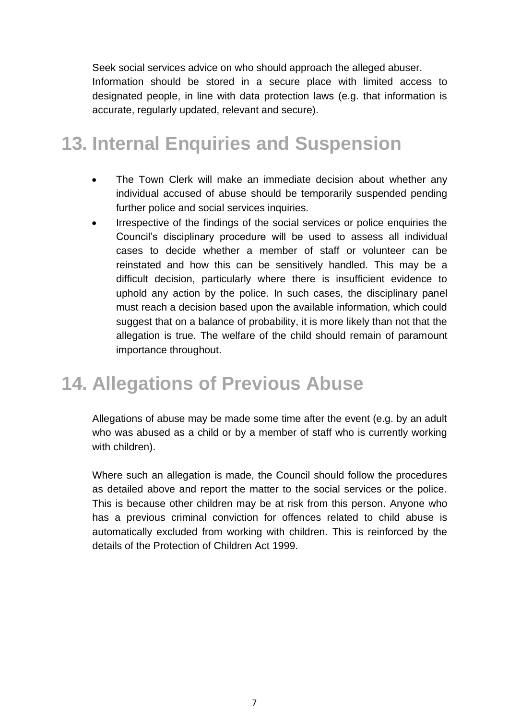Seek social services advice on who should approach the alleged abuser.

Information should be stored in a secure place with limited access to designated people, in line with data protection laws (e.g. that information is accurate, regularly updated, relevant and secure).

#### **13. Internal Enquiries and Suspension**

- The Town Clerk will make an immediate decision about whether any individual accused of abuse should be temporarily suspended pending further police and social services inquiries.
- Irrespective of the findings of the social services or police enquiries the Council's disciplinary procedure will be used to assess all individual cases to decide whether a member of staff or volunteer can be reinstated and how this can be sensitively handled. This may be a difficult decision, particularly where there is insufficient evidence to uphold any action by the police. In such cases, the disciplinary panel must reach a decision based upon the available information, which could suggest that on a balance of probability, it is more likely than not that the allegation is true. The welfare of the child should remain of paramount importance throughout.

#### **14. Allegations of Previous Abuse**

Allegations of abuse may be made some time after the event (e.g. by an adult who was abused as a child or by a member of staff who is currently working with children).

Where such an allegation is made, the Council should follow the procedures as detailed above and report the matter to the social services or the police. This is because other children may be at risk from this person. Anyone who has a previous criminal conviction for offences related to child abuse is automatically excluded from working with children. This is reinforced by the details of the Protection of Children Act 1999.